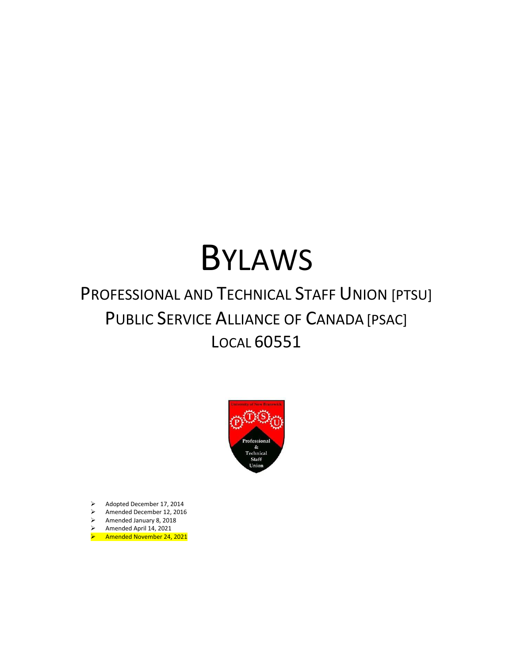# BYLAWS

# PROFESSIONAL AND TECHNICAL STAFF UNION [PTSU] PUBLIC SERVICE ALLIANCE OF CANADA [PSAC] LOCAL 60551



- ➢ Adopted December 17, 2014
- $\geq$  Amended December 12, 2016<br> $\geq$  Amended January 8, 2018
- ➢ Amended January 8, 2018
- ➢ Amended April 14, 2021
- ➢ Amended November 24, 2021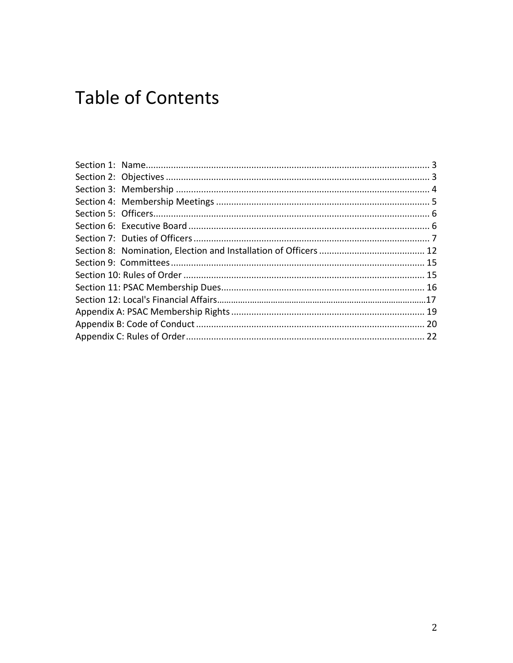# **Table of Contents**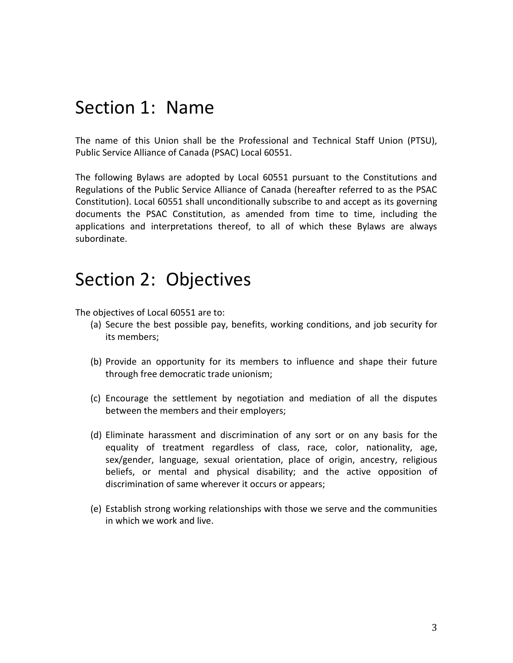### <span id="page-2-0"></span>Section 1: Name

The name of this Union shall be the Professional and Technical Staff Union (PTSU), Public Service Alliance of Canada (PSAC) Local 60551.

The following Bylaws are adopted by Local 60551 pursuant to the Constitutions and Regulations of the Public Service Alliance of Canada (hereafter referred to as the PSAC Constitution). Local 60551 shall unconditionally subscribe to and accept as its governing documents the PSAC Constitution, as amended from time to time, including the applications and interpretations thereof, to all of which these Bylaws are always subordinate.

### <span id="page-2-1"></span>Section 2: Objectives

The objectives of Local 60551 are to:

- (a) Secure the best possible pay, benefits, working conditions, and job security for its members;
- (b) Provide an opportunity for its members to influence and shape their future through free democratic trade unionism;
- (c) Encourage the settlement by negotiation and mediation of all the disputes between the members and their employers;
- (d) Eliminate harassment and discrimination of any sort or on any basis for the equality of treatment regardless of class, race, color, nationality, age, sex/gender, language, sexual orientation, place of origin, ancestry, religious beliefs, or mental and physical disability; and the active opposition of discrimination of same wherever it occurs or appears;
- (e) Establish strong working relationships with those we serve and the communities in which we work and live.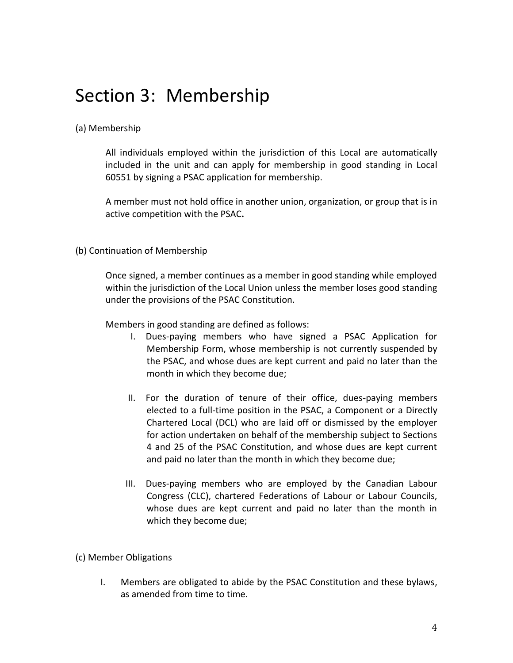# <span id="page-3-0"></span>Section 3: Membership

#### (a) Membership

All individuals employed within the jurisdiction of this Local are automatically included in the unit and can apply for membership in good standing in Local 60551 by signing a PSAC application for membership.

A member must not hold office in another union, organization, or group that is in active competition with the PSAC**.**

#### (b) Continuation of Membership

Once signed, a member continues as a member in good standing while employed within the jurisdiction of the Local Union unless the member loses good standing under the provisions of the PSAC Constitution.

Members in good standing are defined as follows:

- I. Dues-paying members who have signed a PSAC Application for Membership Form, whose membership is not currently suspended by the PSAC, and whose dues are kept current and paid no later than the month in which they become due;
- II. For the duration of tenure of their office, dues-paying members elected to a full-time position in the PSAC, a Component or a Directly Chartered Local (DCL) who are laid off or dismissed by the employer for action undertaken on behalf of the membership subject to Sections 4 and 25 of the PSAC Constitution, and whose dues are kept current and paid no later than the month in which they become due;
- III. Dues-paying members who are employed by the Canadian Labour Congress (CLC), chartered Federations of Labour or Labour Councils, whose dues are kept current and paid no later than the month in which they become due;

#### (c) Member Obligations

I. Members are obligated to abide by the PSAC Constitution and these bylaws, as amended from time to time.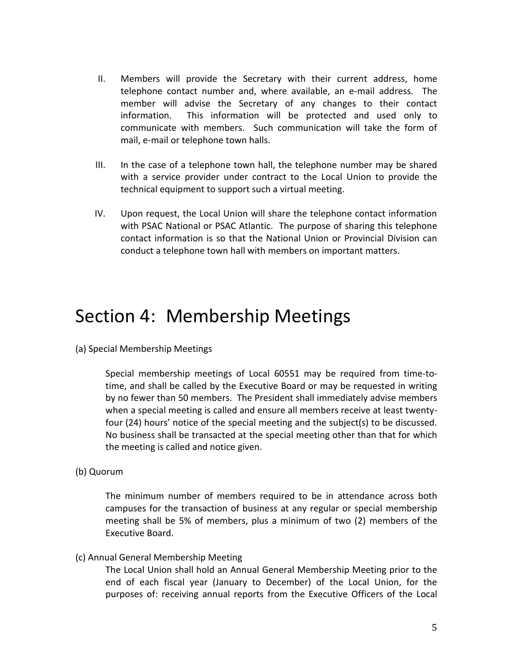- II. Members will provide the Secretary with their current address, home telephone contact number and, where available, an e-mail address. The member will advise the Secretary of any changes to their contact information. This information will be protected and used only to communicate with members. Such communication will take the form of mail, e-mail or telephone town halls.
- III. In the case of a telephone town hall, the telephone number may be shared with a service provider under contract to the Local Union to provide the technical equipment to support such a virtual meeting.
- IV. Upon request, the Local Union will share the telephone contact information with PSAC National or PSAC Atlantic. The purpose of sharing this telephone contact information is so that the National Union or Provincial Division can conduct a telephone town hall with members on important matters.

### <span id="page-4-0"></span>Section 4: Membership Meetings

(a) Special Membership Meetings

Special membership meetings of Local 60551 may be required from time-totime, and shall be called by the Executive Board or may be requested in writing by no fewer than 50 members. The President shall immediately advise members when a special meeting is called and ensure all members receive at least twentyfour (24) hours' notice of the special meeting and the subject(s) to be discussed. No business shall be transacted at the special meeting other than that for which the meeting is called and notice given.

(b) Quorum

The minimum number of members required to be in attendance across both campuses for the transaction of business at any regular or special membership meeting shall be 5% of members, plus a minimum of two (2) members of the Executive Board.

(c) Annual General Membership Meeting

The Local Union shall hold an Annual General Membership Meeting prior to the end of each fiscal year (January to December) of the Local Union, for the purposes of: receiving annual reports from the Executive Officers of the Local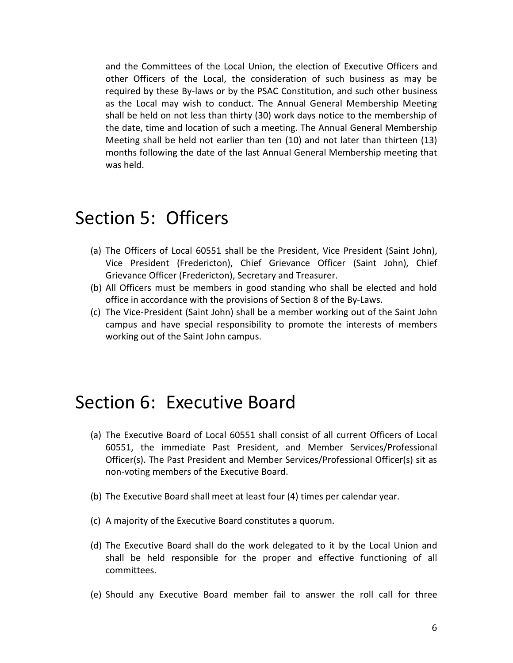and the Committees of the Local Union, the election of Executive Officers and other Officers of the Local, the consideration of such business as may be required by these By-laws or by the PSAC Constitution, and such other business as the Local may wish to conduct. The Annual General Membership Meeting shall be held on not less than thirty (30) work days notice to the membership of the date, time and location of such a meeting. The Annual General Membership Meeting shall be held not earlier than ten (10) and not later than thirteen (13) months following the date of the last Annual General Membership meeting that was held.

### <span id="page-5-0"></span>Section 5: Officers

- (a) The Officers of Local 60551 shall be the President, Vice President (Saint John), Vice President (Fredericton), Chief Grievance Officer (Saint John), Chief Grievance Officer (Fredericton), Secretary and Treasurer.
- (b) All Officers must be members in good standing who shall be elected and hold office in accordance with the provisions of Section 8 of the By-Laws.
- (c) The Vice-President (Saint John) shall be a member working out of the Saint John campus and have special responsibility to promote the interests of members working out of the Saint John campus.

### <span id="page-5-1"></span>Section 6: Executive Board

- (a) The Executive Board of Local 60551 shall consist of all current Officers of Local 60551, the immediate Past President, and Member Services/Professional Officer(s). The Past President and Member Services/Professional Officer(s) sit as non-voting members of the Executive Board.
- (b) The Executive Board shall meet at least four (4) times per calendar year.
- (c) A majority of the Executive Board constitutes a quorum.
- (d) The Executive Board shall do the work delegated to it by the Local Union and shall be held responsible for the proper and effective functioning of all committees.
- (e) Should any Executive Board member fail to answer the roll call for three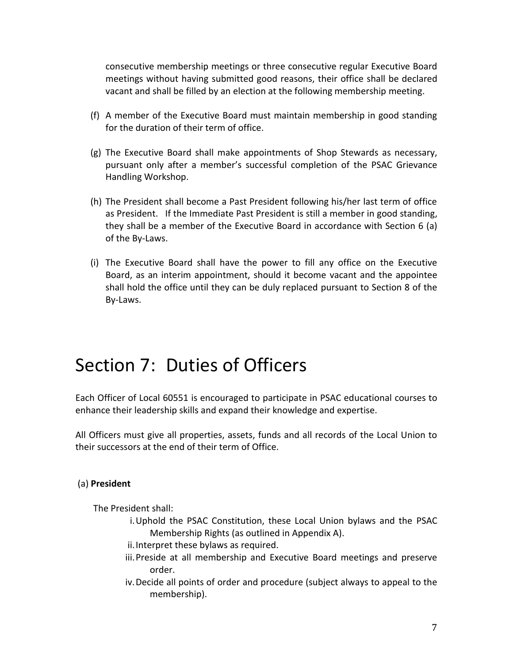consecutive membership meetings or three consecutive regular Executive Board meetings without having submitted good reasons, their office shall be declared vacant and shall be filled by an election at the following membership meeting.

- (f) A member of the Executive Board must maintain membership in good standing for the duration of their term of office.
- (g) The Executive Board shall make appointments of Shop Stewards as necessary, pursuant only after a member's successful completion of the PSAC Grievance Handling Workshop.
- (h) The President shall become a Past President following his/her last term of office as President. If the Immediate Past President is still a member in good standing, they shall be a member of the Executive Board in accordance with Section 6 (a) of the By-Laws.
- (i) The Executive Board shall have the power to fill any office on the Executive Board, as an interim appointment, should it become vacant and the appointee shall hold the office until they can be duly replaced pursuant to Section 8 of the By-Laws.

# <span id="page-6-0"></span>Section 7: Duties of Officers

Each Officer of Local 60551 is encouraged to participate in PSAC educational courses to enhance their leadership skills and expand their knowledge and expertise.

All Officers must give all properties, assets, funds and all records of the Local Union to their successors at the end of their term of Office.

#### (a) **President**

The President shall:

- i.Uphold the PSAC Constitution, these Local Union bylaws and the PSAC Membership Rights (as outlined in Appendix A).
- ii.Interpret these bylaws as required.
- iii.Preside at all membership and Executive Board meetings and preserve order.
- iv.Decide all points of order and procedure (subject always to appeal to the membership).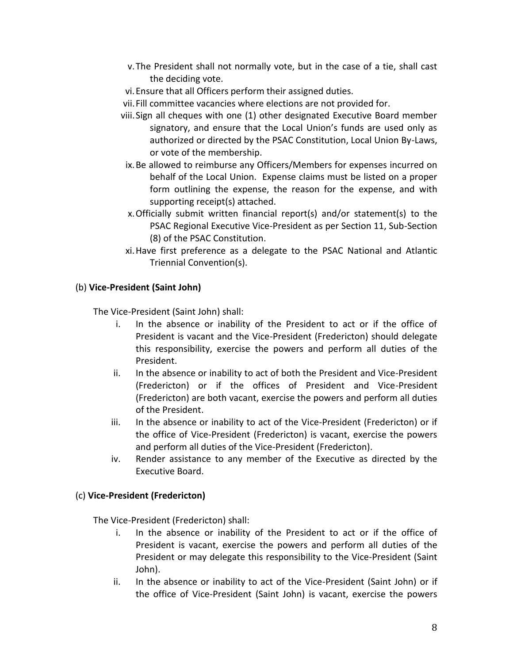- v.The President shall not normally vote, but in the case of a tie, shall cast the deciding vote.
- vi.Ensure that all Officers perform their assigned duties.
- vii.Fill committee vacancies where elections are not provided for.
- viii.Sign all cheques with one (1) other designated Executive Board member signatory, and ensure that the Local Union's funds are used only as authorized or directed by the PSAC Constitution, Local Union By-Laws, or vote of the membership.
- ix.Be allowed to reimburse any Officers/Members for expenses incurred on behalf of the Local Union. Expense claims must be listed on a proper form outlining the expense, the reason for the expense, and with supporting receipt(s) attached.
- x.Officially submit written financial report(s) and/or statement(s) to the PSAC Regional Executive Vice-President as per Section 11, Sub-Section (8) of the PSAC Constitution.
- xi.Have first preference as a delegate to the PSAC National and Atlantic Triennial Convention(s).

#### (b) **Vice-President (Saint John)**

The Vice-President (Saint John) shall:

- i. In the absence or inability of the President to act or if the office of President is vacant and the Vice-President (Fredericton) should delegate this responsibility, exercise the powers and perform all duties of the President.
- ii. In the absence or inability to act of both the President and Vice-President (Fredericton) or if the offices of President and Vice-President (Fredericton) are both vacant, exercise the powers and perform all duties of the President.
- iii. In the absence or inability to act of the Vice-President (Fredericton) or if the office of Vice-President (Fredericton) is vacant, exercise the powers and perform all duties of the Vice-President (Fredericton).
- iv. Render assistance to any member of the Executive as directed by the Executive Board.

#### (c) **Vice-President (Fredericton)**

The Vice-President (Fredericton) shall:

- i. In the absence or inability of the President to act or if the office of President is vacant, exercise the powers and perform all duties of the President or may delegate this responsibility to the Vice-President (Saint John).
- ii. In the absence or inability to act of the Vice-President (Saint John) or if the office of Vice-President (Saint John) is vacant, exercise the powers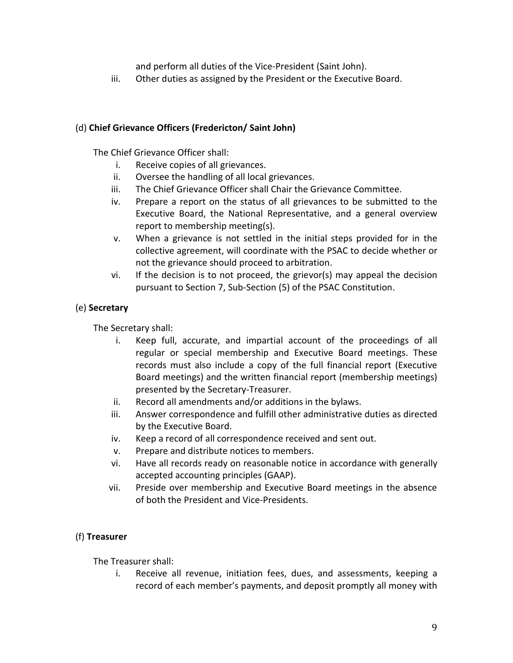and perform all duties of the Vice-President (Saint John).

iii. Other duties as assigned by the President or the Executive Board.

#### (d) **Chief Grievance Officers (Fredericton/ Saint John)**

The Chief Grievance Officer shall:

- i. Receive copies of all grievances.
- ii. Oversee the handling of all local grievances.
- iii. The Chief Grievance Officer shall Chair the Grievance Committee.
- iv. Prepare a report on the status of all grievances to be submitted to the Executive Board, the National Representative, and a general overview report to membership meeting(s).
- v. When a grievance is not settled in the initial steps provided for in the collective agreement, will coordinate with the PSAC to decide whether or not the grievance should proceed to arbitration.
- vi. If the decision is to not proceed, the grievor(s) may appeal the decision pursuant to Section 7, Sub-Section (5) of the PSAC Constitution.

#### (e) **Secretary**

The Secretary shall:

- i. Keep full, accurate, and impartial account of the proceedings of all regular or special membership and Executive Board meetings. These records must also include a copy of the full financial report (Executive Board meetings) and the written financial report (membership meetings) presented by the Secretary-Treasurer.
- ii. Record all amendments and/or additions in the bylaws.
- iii. Answer correspondence and fulfill other administrative duties as directed by the Executive Board.
- iv. Keep a record of all correspondence received and sent out.
- v. Prepare and distribute notices to members.
- vi. Have all records ready on reasonable notice in accordance with generally accepted accounting principles (GAAP).
- vii. Preside over membership and Executive Board meetings in the absence of both the President and Vice-Presidents.

#### (f) **Treasurer**

The Treasurer shall:

i. Receive all revenue, initiation fees, dues, and assessments, keeping a record of each member's payments, and deposit promptly all money with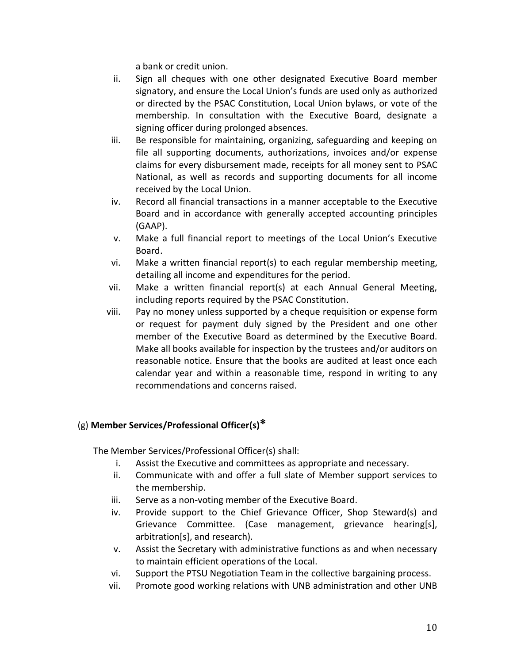a bank or credit union.

- ii. Sign all cheques with one other designated Executive Board member signatory, and ensure the Local Union's funds are used only as authorized or directed by the PSAC Constitution, Local Union bylaws, or vote of the membership. In consultation with the Executive Board, designate a signing officer during prolonged absences.
- iii. Be responsible for maintaining, organizing, safeguarding and keeping on file all supporting documents, authorizations, invoices and/or expense claims for every disbursement made, receipts for all money sent to PSAC National, as well as records and supporting documents for all income received by the Local Union.
- iv. Record all financial transactions in a manner acceptable to the Executive Board and in accordance with generally accepted accounting principles (GAAP).
- v. Make a full financial report to meetings of the Local Union's Executive Board.
- vi. Make a written financial report(s) to each regular membership meeting, detailing all income and expenditures for the period.
- vii. Make a written financial report(s) at each Annual General Meeting, including reports required by the PSAC Constitution.
- viii. Pay no money unless supported by a cheque requisition or expense form or request for payment duly signed by the President and one other member of the Executive Board as determined by the Executive Board. Make all books available for inspection by the trustees and/or auditors on reasonable notice. Ensure that the books are audited at least once each calendar year and within a reasonable time, respond in writing to any recommendations and concerns raised.

#### (g) **Member Services/Professional Officer(s)\***

The Member Services/Professional Officer(s) shall:

- i. Assist the Executive and committees as appropriate and necessary.
- ii. Communicate with and offer a full slate of Member support services to the membership.
- iii. Serve as a non-voting member of the Executive Board.
- iv. Provide support to the Chief Grievance Officer, Shop Steward(s) and Grievance Committee. (Case management, grievance hearing[s], arbitration[s], and research).
- v. Assist the Secretary with administrative functions as and when necessary to maintain efficient operations of the Local.
- vi. Support the PTSU Negotiation Team in the collective bargaining process.
- vii. Promote good working relations with UNB administration and other UNB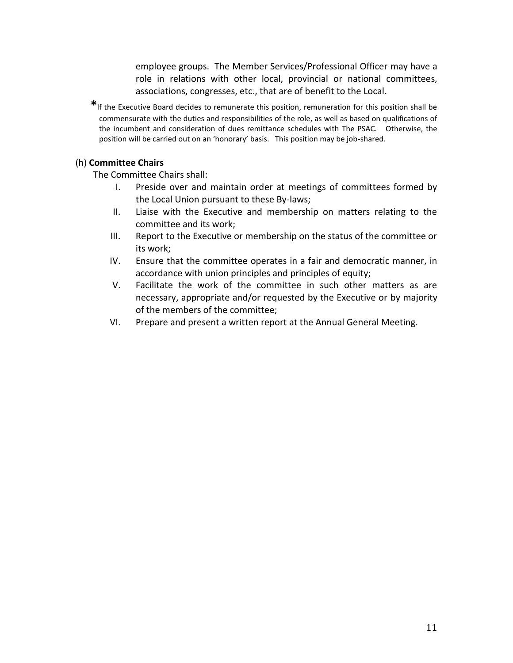employee groups. The Member Services/Professional Officer may have a role in relations with other local, provincial or national committees, associations, congresses, etc., that are of benefit to the Local.

**\***If the Executive Board decides to remunerate this position, remuneration for this position shall be commensurate with the duties and responsibilities of the role, as well as based on qualifications of the incumbent and consideration of dues remittance schedules with The PSAC. Otherwise, the position will be carried out on an 'honorary' basis. This position may be job-shared.

#### (h) **Committee Chairs**

The Committee Chairs shall:

- I. Preside over and maintain order at meetings of committees formed by the Local Union pursuant to these By-laws;
- II. Liaise with the Executive and membership on matters relating to the committee and its work;
- III. Report to the Executive or membership on the status of the committee or its work;
- IV. Ensure that the committee operates in a fair and democratic manner, in accordance with union principles and principles of equity;
- V. Facilitate the work of the committee in such other matters as are necessary, appropriate and/or requested by the Executive or by majority of the members of the committee;
- VI. Prepare and present a written report at the Annual General Meeting.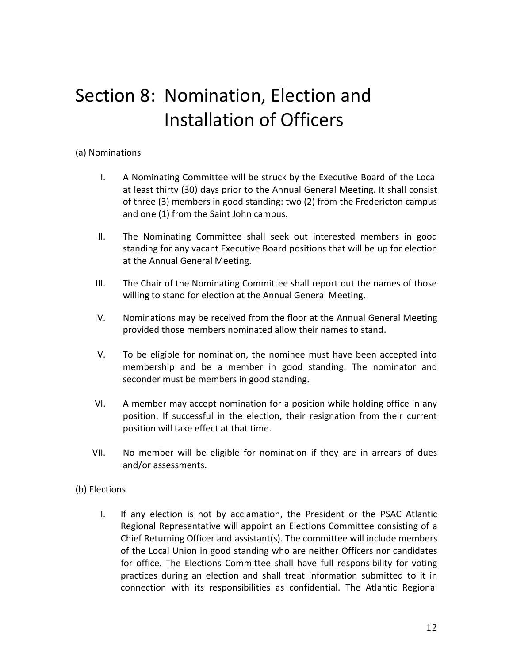# <span id="page-11-0"></span>Section 8: Nomination, Election and Installation of Officers

#### (a) Nominations

- I. A Nominating Committee will be struck by the Executive Board of the Local at least thirty (30) days prior to the Annual General Meeting. It shall consist of three (3) members in good standing: two (2) from the Fredericton campus and one (1) from the Saint John campus.
- II. The Nominating Committee shall seek out interested members in good standing for any vacant Executive Board positions that will be up for election at the Annual General Meeting.
- III. The Chair of the Nominating Committee shall report out the names of those willing to stand for election at the Annual General Meeting.
- IV. Nominations may be received from the floor at the Annual General Meeting provided those members nominated allow their names to stand.
- V. To be eligible for nomination, the nominee must have been accepted into membership and be a member in good standing. The nominator and seconder must be members in good standing.
- VI. A member may accept nomination for a position while holding office in any position. If successful in the election, their resignation from their current position will take effect at that time.
- VII. No member will be eligible for nomination if they are in arrears of dues and/or assessments.

#### (b) Elections

I. If any election is not by acclamation, the President or the PSAC Atlantic Regional Representative will appoint an Elections Committee consisting of a Chief Returning Officer and assistant(s). The committee will include members of the Local Union in good standing who are neither Officers nor candidates for office. The Elections Committee shall have full responsibility for voting practices during an election and shall treat information submitted to it in connection with its responsibilities as confidential. The Atlantic Regional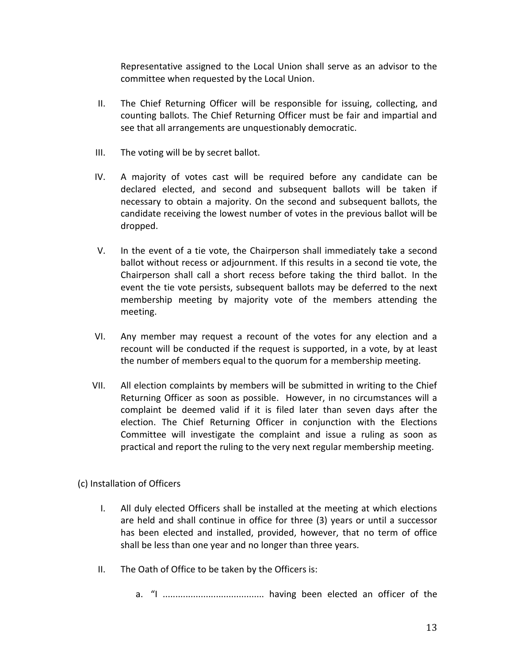Representative assigned to the Local Union shall serve as an advisor to the committee when requested by the Local Union.

- II. The Chief Returning Officer will be responsible for issuing, collecting, and counting ballots. The Chief Returning Officer must be fair and impartial and see that all arrangements are unquestionably democratic.
- III. The voting will be by secret ballot.
- IV. A majority of votes cast will be required before any candidate can be declared elected, and second and subsequent ballots will be taken if necessary to obtain a majority. On the second and subsequent ballots, the candidate receiving the lowest number of votes in the previous ballot will be dropped.
- V. In the event of a tie vote, the Chairperson shall immediately take a second ballot without recess or adjournment. If this results in a second tie vote, the Chairperson shall call a short recess before taking the third ballot. In the event the tie vote persists, subsequent ballots may be deferred to the next membership meeting by majority vote of the members attending the meeting.
- VI. Any member may request a recount of the votes for any election and a recount will be conducted if the request is supported, in a vote, by at least the number of members equal to the quorum for a membership meeting.
- VII. All election complaints by members will be submitted in writing to the Chief Returning Officer as soon as possible. However, in no circumstances will a complaint be deemed valid if it is filed later than seven days after the election. The Chief Returning Officer in conjunction with the Elections Committee will investigate the complaint and issue a ruling as soon as practical and report the ruling to the very next regular membership meeting.
- (c) Installation of Officers
	- I. All duly elected Officers shall be installed at the meeting at which elections are held and shall continue in office for three (3) years or until a successor has been elected and installed, provided, however, that no term of office shall be less than one year and no longer than three years.
	- II. The Oath of Office to be taken by the Officers is:
		- a. "I ........................................ having been elected an officer of the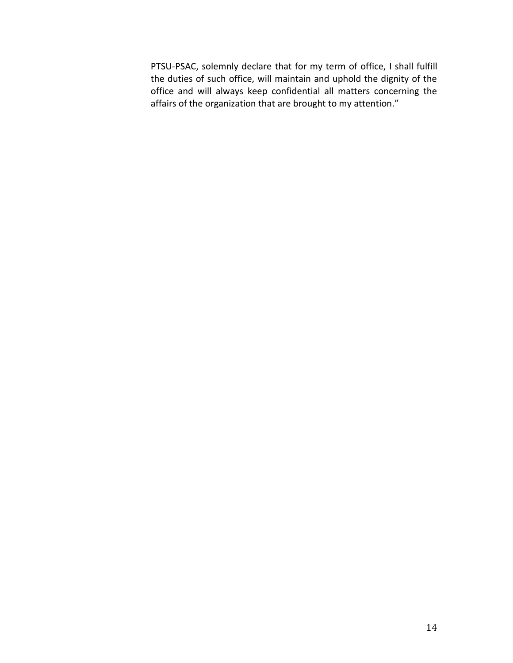PTSU-PSAC, solemnly declare that for my term of office, I shall fulfill the duties of such office, will maintain and uphold the dignity of the office and will always keep confidential all matters concerning the affairs of the organization that are brought to my attention."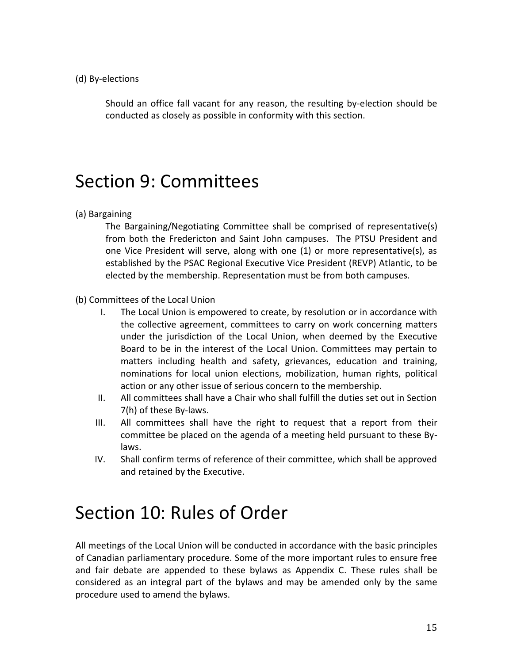(d) By-elections

Should an office fall vacant for any reason, the resulting by-election should be conducted as closely as possible in conformity with this section.

### <span id="page-14-0"></span>Section 9: Committees

(a) Bargaining

The Bargaining/Negotiating Committee shall be comprised of representative(s) from both the Fredericton and Saint John campuses. The PTSU President and one Vice President will serve, along with one (1) or more representative(s), as established by the PSAC Regional Executive Vice President (REVP) Atlantic, to be elected by the membership. Representation must be from both campuses.

- (b) Committees of the Local Union
	- I. The Local Union is empowered to create, by resolution or in accordance with the collective agreement, committees to carry on work concerning matters under the jurisdiction of the Local Union, when deemed by the Executive Board to be in the interest of the Local Union. Committees may pertain to matters including health and safety, grievances, education and training, nominations for local union elections, mobilization, human rights, political action or any other issue of serious concern to the membership.
	- II. All committees shall have a Chair who shall fulfill the duties set out in Section 7(h) of these By-laws.
	- III. All committees shall have the right to request that a report from their committee be placed on the agenda of a meeting held pursuant to these Bylaws.
	- IV. Shall confirm terms of reference of their committee, which shall be approved and retained by the Executive.

### <span id="page-14-1"></span>Section 10: Rules of Order

All meetings of the Local Union will be conducted in accordance with the basic principles of Canadian parliamentary procedure. Some of the more important rules to ensure free and fair debate are appended to these bylaws as Appendix C. These rules shall be considered as an integral part of the bylaws and may be amended only by the same procedure used to amend the bylaws.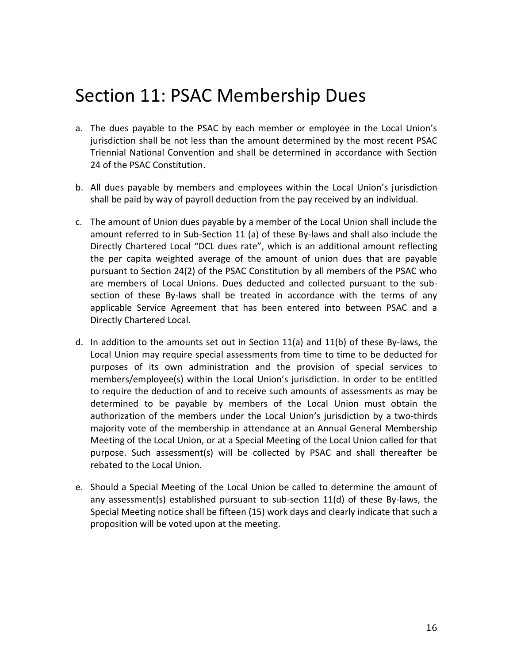# <span id="page-15-0"></span>Section 11: PSAC Membership Dues

- a. The dues payable to the PSAC by each member or employee in the Local Union's jurisdiction shall be not less than the amount determined by the most recent PSAC Triennial National Convention and shall be determined in accordance with Section 24 of the PSAC Constitution.
- b. All dues payable by members and employees within the Local Union's jurisdiction shall be paid by way of payroll deduction from the pay received by an individual.
- c. The amount of Union dues payable by a member of the Local Union shall include the amount referred to in Sub-Section 11 (a) of these By-laws and shall also include the Directly Chartered Local "DCL dues rate", which is an additional amount reflecting the per capita weighted average of the amount of union dues that are payable pursuant to Section 24(2) of the PSAC Constitution by all members of the PSAC who are members of Local Unions. Dues deducted and collected pursuant to the subsection of these By-laws shall be treated in accordance with the terms of any applicable Service Agreement that has been entered into between PSAC and a Directly Chartered Local.
- d. In addition to the amounts set out in Section 11(a) and 11(b) of these By-laws, the Local Union may require special assessments from time to time to be deducted for purposes of its own administration and the provision of special services to members/employee(s) within the Local Union's jurisdiction. In order to be entitled to require the deduction of and to receive such amounts of assessments as may be determined to be payable by members of the Local Union must obtain the authorization of the members under the Local Union's jurisdiction by a two-thirds majority vote of the membership in attendance at an Annual General Membership Meeting of the Local Union, or at a Special Meeting of the Local Union called for that purpose. Such assessment(s) will be collected by PSAC and shall thereafter be rebated to the Local Union.
- e. Should a Special Meeting of the Local Union be called to determine the amount of any assessment(s) established pursuant to sub-section 11(d) of these By-laws, the Special Meeting notice shall be fifteen (15) work days and clearly indicate that such a proposition will be voted upon at the meeting.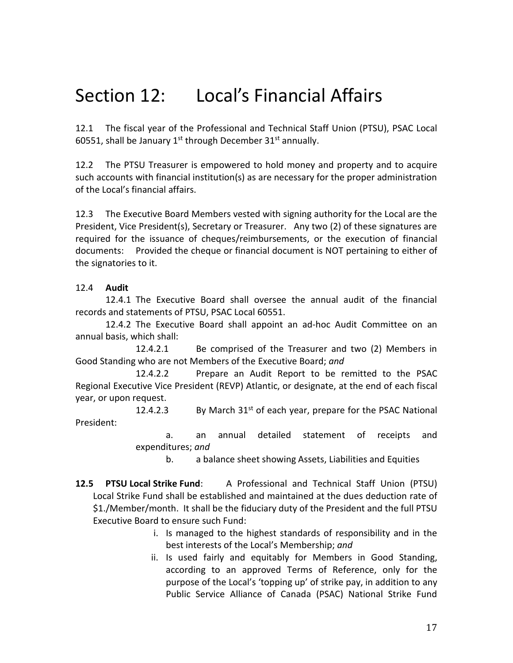# Section 12: Local's Financial Affairs

12.1 The fiscal year of the Professional and Technical Staff Union (PTSU), PSAC Local 60551, shall be January  $1^{st}$  through December 31st annually.

12.2 The PTSU Treasurer is empowered to hold money and property and to acquire such accounts with financial institution(s) as are necessary for the proper administration of the Local's financial affairs.

12.3 The Executive Board Members vested with signing authority for the Local are the President, Vice President(s), Secretary or Treasurer. Any two (2) of these signatures are required for the issuance of cheques/reimbursements, or the execution of financial documents: Provided the cheque or financial document is NOT pertaining to either of the signatories to it.

#### 12.4 **Audit**

12.4.1 The Executive Board shall oversee the annual audit of the financial records and statements of PTSU, PSAC Local 60551.

12.4.2 The Executive Board shall appoint an ad-hoc Audit Committee on an annual basis, which shall:

12.4.2.1 Be comprised of the Treasurer and two (2) Members in Good Standing who are not Members of the Executive Board; *and*

12.4.2.2 Prepare an Audit Report to be remitted to the PSAC Regional Executive Vice President (REVP) Atlantic, or designate, at the end of each fiscal year, or upon request.

12.4.2.3 By March  $31<sup>st</sup>$  of each year, prepare for the PSAC National President:

> a. an annual detailed statement of receipts and expenditures; *and*

b. a balance sheet showing Assets, Liabilities and Equities

- **12.5 PTSU Local Strike Fund**: A Professional and Technical Staff Union (PTSU) Local Strike Fund shall be established and maintained at the dues deduction rate of \$1./Member/month. It shall be the fiduciary duty of the President and the full PTSU Executive Board to ensure such Fund:
	- i. Is managed to the highest standards of responsibility and in the best interests of the Local's Membership; *and*
	- ii. Is used fairly and equitably for Members in Good Standing, according to an approved Terms of Reference, only for the purpose of the Local's 'topping up' of strike pay, in addition to any Public Service Alliance of Canada (PSAC) National Strike Fund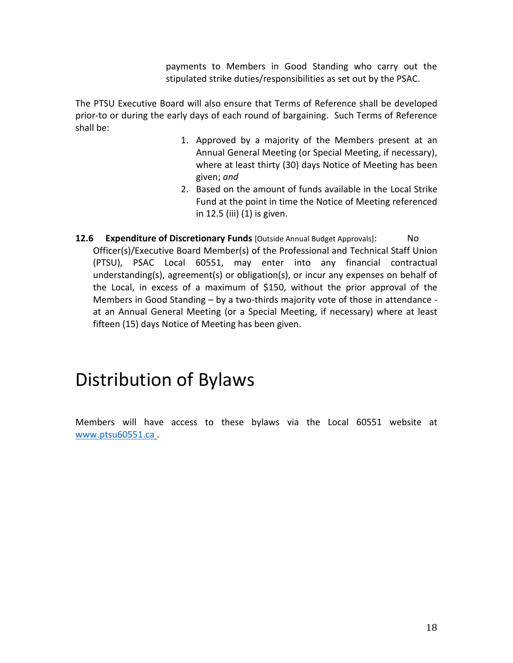payments to Members in Good Standing who carry out the stipulated strike duties/responsibilities as set out by the PSAC.

The PTSU Executive Board will also ensure that Terms of Reference shall be developed prior-to or during the early days of each round of bargaining. Such Terms of Reference shall be:

- 1. Approved by a majority of the Members present at an Annual General Meeting (or Special Meeting, if necessary), where at least thirty (30) days Notice of Meeting has been given; *and*
- 2. Based on the amount of funds available in the Local Strike Fund at the point in time the Notice of Meeting referenced in 12.5 (iii) (1) is given.
- **12.6 Expenditure of Discretionary Funds** [Outside Annual Budget Approvals]: No Officer(s)/Executive Board Member(s) of the Professional and Technical Staff Union (PTSU), PSAC Local 60551, may enter into any financial contractual understanding(s), agreement(s) or obligation(s), or incur any expenses on behalf of the Local, in excess of a maximum of \$150, without the prior approval of the Members in Good Standing – by a two-thirds majority vote of those in attendance at an Annual General Meeting (or a Special Meeting, if necessary) where at least fifteen (15) days Notice of Meeting has been given.

### Distribution of Bylaws

Members will have access to these bylaws via the Local 60551 website at [www.ptsu60551.ca](http://www.ptsu60551.ca/) .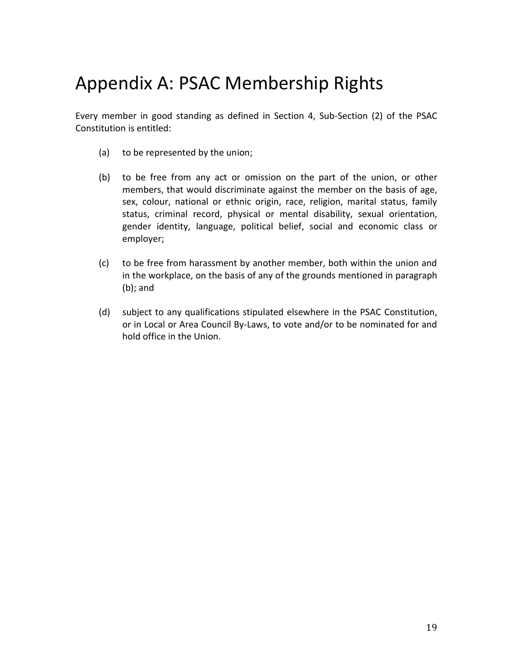# <span id="page-18-0"></span>Appendix A: PSAC Membership Rights

Every member in good standing as defined in Section 4, Sub-Section (2) of the PSAC Constitution is entitled:

- (a) to be represented by the union;
- (b) to be free from any act or omission on the part of the union, or other members, that would discriminate against the member on the basis of age, sex, colour, national or ethnic origin, race, religion, marital status, family status, criminal record, physical or mental disability, sexual orientation, gender identity, language, political belief, social and economic class or employer;
- (c) to be free from harassment by another member, both within the union and in the workplace, on the basis of any of the grounds mentioned in paragraph (b); and
- (d) subject to any qualifications stipulated elsewhere in the PSAC Constitution, or in Local or Area Council By-Laws, to vote and/or to be nominated for and hold office in the Union.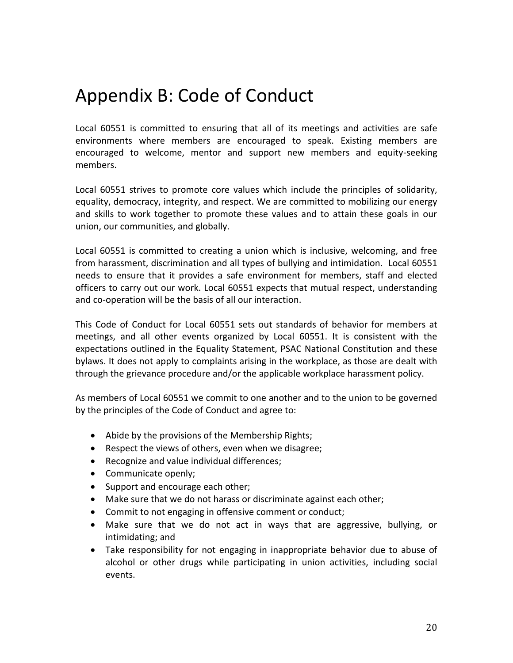# <span id="page-19-0"></span>Appendix B: Code of Conduct

Local 60551 is committed to ensuring that all of its meetings and activities are safe environments where members are encouraged to speak. Existing members are encouraged to welcome, mentor and support new members and equity-seeking members.

Local 60551 strives to promote core values which include the principles of solidarity, equality, democracy, integrity, and respect. We are committed to mobilizing our energy and skills to work together to promote these values and to attain these goals in our union, our communities, and globally.

Local 60551 is committed to creating a union which is inclusive, welcoming, and free from harassment, discrimination and all types of bullying and intimidation. Local 60551 needs to ensure that it provides a safe environment for members, staff and elected officers to carry out our work. Local 60551 expects that mutual respect, understanding and co-operation will be the basis of all our interaction.

This Code of Conduct for Local 60551 sets out standards of behavior for members at meetings, and all other events organized by Local 60551. It is consistent with the expectations outlined in the Equality Statement, PSAC National Constitution and these bylaws. It does not apply to complaints arising in the workplace, as those are dealt with through the grievance procedure and/or the applicable workplace harassment policy.

As members of Local 60551 we commit to one another and to the union to be governed by the principles of the Code of Conduct and agree to:

- Abide by the provisions of the Membership Rights;
- Respect the views of others, even when we disagree;
- Recognize and value individual differences;
- Communicate openly;
- Support and encourage each other;
- Make sure that we do not harass or discriminate against each other;
- Commit to not engaging in offensive comment or conduct;
- Make sure that we do not act in ways that are aggressive, bullying, or intimidating; and
- Take responsibility for not engaging in inappropriate behavior due to abuse of alcohol or other drugs while participating in union activities, including social events.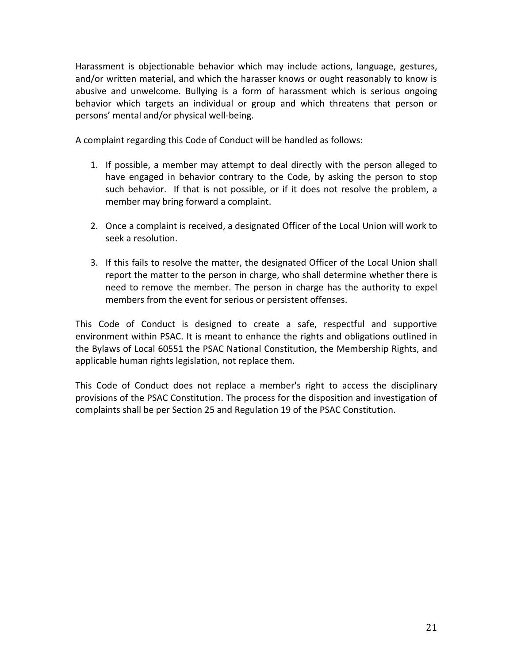Harassment is objectionable behavior which may include actions, language, gestures, and/or written material, and which the harasser knows or ought reasonably to know is abusive and unwelcome. Bullying is a form of harassment which is serious ongoing behavior which targets an individual or group and which threatens that person or persons' mental and/or physical well-being.

A complaint regarding this Code of Conduct will be handled as follows:

- 1. If possible, a member may attempt to deal directly with the person alleged to have engaged in behavior contrary to the Code, by asking the person to stop such behavior. If that is not possible, or if it does not resolve the problem, a member may bring forward a complaint.
- 2. Once a complaint is received, a designated Officer of the Local Union will work to seek a resolution.
- 3. If this fails to resolve the matter, the designated Officer of the Local Union shall report the matter to the person in charge, who shall determine whether there is need to remove the member. The person in charge has the authority to expel members from the event for serious or persistent offenses.

This Code of Conduct is designed to create a safe, respectful and supportive environment within PSAC. It is meant to enhance the rights and obligations outlined in the Bylaws of Local 60551 the PSAC National Constitution, the Membership Rights, and applicable human rights legislation, not replace them.

This Code of Conduct does not replace a member's right to access the disciplinary provisions of the PSAC Constitution. The process for the disposition and investigation of complaints shall be per Section 25 and Regulation 19 of the PSAC Constitution.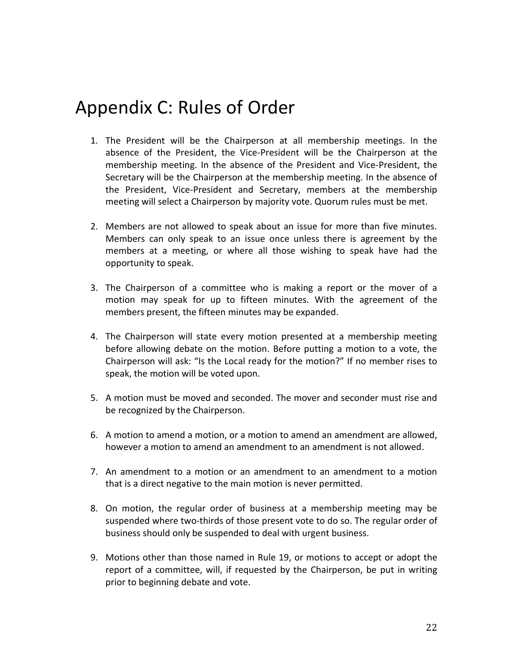### <span id="page-21-0"></span>Appendix C: Rules of Order

- 1. The President will be the Chairperson at all membership meetings. In the absence of the President, the Vice-President will be the Chairperson at the membership meeting. In the absence of the President and Vice-President, the Secretary will be the Chairperson at the membership meeting. In the absence of the President, Vice-President and Secretary, members at the membership meeting will select a Chairperson by majority vote. Quorum rules must be met.
- 2. Members are not allowed to speak about an issue for more than five minutes. Members can only speak to an issue once unless there is agreement by the members at a meeting, or where all those wishing to speak have had the opportunity to speak.
- 3. The Chairperson of a committee who is making a report or the mover of a motion may speak for up to fifteen minutes. With the agreement of the members present, the fifteen minutes may be expanded.
- 4. The Chairperson will state every motion presented at a membership meeting before allowing debate on the motion. Before putting a motion to a vote, the Chairperson will ask: "Is the Local ready for the motion?" If no member rises to speak, the motion will be voted upon.
- 5. A motion must be moved and seconded. The mover and seconder must rise and be recognized by the Chairperson.
- 6. A motion to amend a motion, or a motion to amend an amendment are allowed, however a motion to amend an amendment to an amendment is not allowed.
- 7. An amendment to a motion or an amendment to an amendment to a motion that is a direct negative to the main motion is never permitted.
- 8. On motion, the regular order of business at a membership meeting may be suspended where two-thirds of those present vote to do so. The regular order of business should only be suspended to deal with urgent business.
- 9. Motions other than those named in Rule 19, or motions to accept or adopt the report of a committee, will, if requested by the Chairperson, be put in writing prior to beginning debate and vote.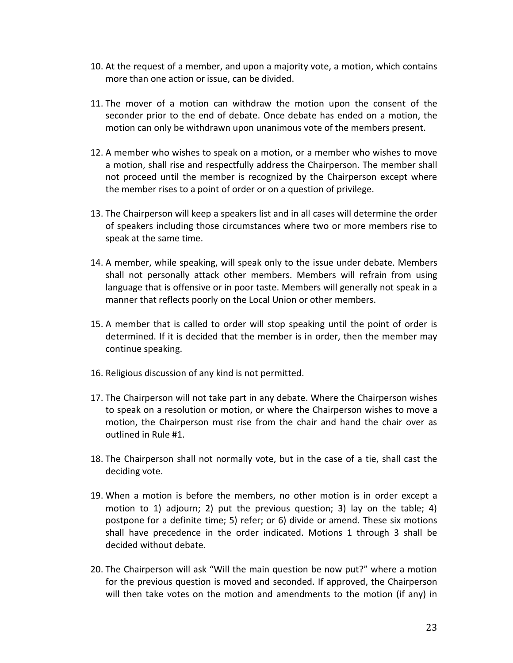- 10. At the request of a member, and upon a majority vote, a motion, which contains more than one action or issue, can be divided.
- 11. The mover of a motion can withdraw the motion upon the consent of the seconder prior to the end of debate. Once debate has ended on a motion, the motion can only be withdrawn upon unanimous vote of the members present.
- 12. A member who wishes to speak on a motion, or a member who wishes to move a motion, shall rise and respectfully address the Chairperson. The member shall not proceed until the member is recognized by the Chairperson except where the member rises to a point of order or on a question of privilege.
- 13. The Chairperson will keep a speakers list and in all cases will determine the order of speakers including those circumstances where two or more members rise to speak at the same time.
- 14. A member, while speaking, will speak only to the issue under debate. Members shall not personally attack other members. Members will refrain from using language that is offensive or in poor taste. Members will generally not speak in a manner that reflects poorly on the Local Union or other members.
- 15. A member that is called to order will stop speaking until the point of order is determined. If it is decided that the member is in order, then the member may continue speaking.
- 16. Religious discussion of any kind is not permitted.
- 17. The Chairperson will not take part in any debate. Where the Chairperson wishes to speak on a resolution or motion, or where the Chairperson wishes to move a motion, the Chairperson must rise from the chair and hand the chair over as outlined in Rule #1.
- 18. The Chairperson shall not normally vote, but in the case of a tie, shall cast the deciding vote.
- 19. When a motion is before the members, no other motion is in order except a motion to 1) adjourn; 2) put the previous question; 3) lay on the table; 4) postpone for a definite time; 5) refer; or 6) divide or amend. These six motions shall have precedence in the order indicated. Motions 1 through 3 shall be decided without debate.
- 20. The Chairperson will ask "Will the main question be now put?" where a motion for the previous question is moved and seconded. If approved, the Chairperson will then take votes on the motion and amendments to the motion (if any) in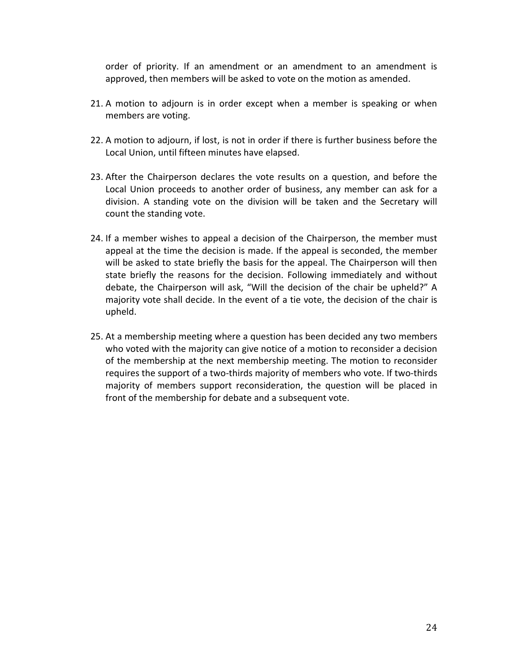order of priority. If an amendment or an amendment to an amendment is approved, then members will be asked to vote on the motion as amended.

- 21. A motion to adjourn is in order except when a member is speaking or when members are voting.
- 22. A motion to adjourn, if lost, is not in order if there is further business before the Local Union, until fifteen minutes have elapsed.
- 23. After the Chairperson declares the vote results on a question, and before the Local Union proceeds to another order of business, any member can ask for a division. A standing vote on the division will be taken and the Secretary will count the standing vote.
- 24. If a member wishes to appeal a decision of the Chairperson, the member must appeal at the time the decision is made. If the appeal is seconded, the member will be asked to state briefly the basis for the appeal. The Chairperson will then state briefly the reasons for the decision. Following immediately and without debate, the Chairperson will ask, "Will the decision of the chair be upheld?" A majority vote shall decide. In the event of a tie vote, the decision of the chair is upheld.
- 25. At a membership meeting where a question has been decided any two members who voted with the majority can give notice of a motion to reconsider a decision of the membership at the next membership meeting. The motion to reconsider requires the support of a two-thirds majority of members who vote. If two-thirds majority of members support reconsideration, the question will be placed in front of the membership for debate and a subsequent vote.